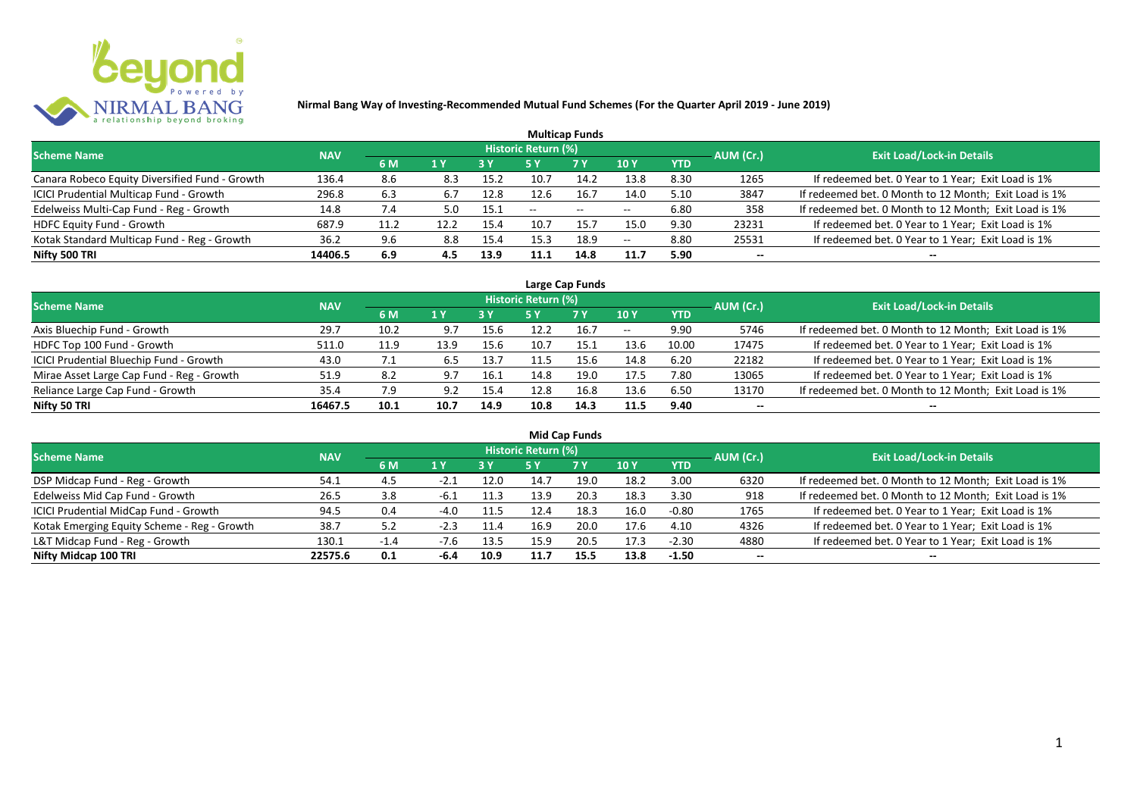

| <b>Multicap Funds</b>                          |            |             |      |            |                     |                          |                          |            |           |                                                       |  |  |  |  |
|------------------------------------------------|------------|-------------|------|------------|---------------------|--------------------------|--------------------------|------------|-----------|-------------------------------------------------------|--|--|--|--|
| <b>Scheme Name</b>                             | <b>NAV</b> |             |      |            | Historic Return (%) |                          |                          |            | AUM (Cr.) | <b>Exit Load/Lock-in Details</b>                      |  |  |  |  |
|                                                |            | 6 M         | 1 Y  | <b>3 Y</b> |                     | <b>7 Y</b>               | <b>10Y</b>               | <b>YTD</b> |           |                                                       |  |  |  |  |
| Canara Robeco Equity Diversified Fund - Growth | 136.4      | 8.6         | 8.3  | 15.2       | 10.7                | 14.2                     | 13.8                     | 8.30       | 1265      | If redeemed bet. 0 Year to 1 Year; Exit Load is 1%    |  |  |  |  |
| ICICI Prudential Multicap Fund - Growth        | 296.8      | 6.3         | 6.7  | 12.8       | 12.6                | 16.7                     | 14.0                     | 5.10       | 3847      | If redeemed bet. 0 Month to 12 Month; Exit Load is 1% |  |  |  |  |
| Edelweiss Multi-Cap Fund - Reg - Growth        | 14.8       | $\sqrt{.4}$ | 5.0  | 15.1       | $- -$               | $\overline{\phantom{a}}$ | $\overline{\phantom{m}}$ | 6.80       | 358       | If redeemed bet. 0 Month to 12 Month; Exit Load is 1% |  |  |  |  |
| HDFC Equity Fund - Growth                      | 687.9      | 11.2        | 12.2 | 15.4       | 10.7                | 15.7                     | 15.0                     | 9.30       | 23231     | If redeemed bet. 0 Year to 1 Year; Exit Load is 1%    |  |  |  |  |
| Kotak Standard Multicap Fund - Reg - Growth    | 36.2       | 9.6         | 8.8  | 15.4       | 15.3                | 18.9                     | $-$                      | 8.80       | 25531     | If redeemed bet. 0 Year to 1 Year; Exit Load is 1%    |  |  |  |  |
| Nifty 500 TRI                                  | 14406.5    | 6.9         | 4.5  | 13.9       | 11.1                | 14.8                     | 11.7                     | 5.90       | $- -$     | --                                                    |  |  |  |  |

| Large Cap Funds                           |            |      |      |      |                            |           |       |            |           |                                                       |  |  |  |
|-------------------------------------------|------------|------|------|------|----------------------------|-----------|-------|------------|-----------|-------------------------------------------------------|--|--|--|
| <b>Scheme Name</b>                        | <b>NAV</b> |      |      |      | <b>Historic Return (%)</b> |           |       |            | AUM (Cr.) | <b>Exit Load/Lock-in Details</b>                      |  |  |  |
|                                           |            | 6 M  | 1 Y  | 3 Y  | 5 Y                        | <b>7Y</b> | 10Y   | <b>YTD</b> |           |                                                       |  |  |  |
| Axis Bluechip Fund - Growth               | 29.7       | 10.2 | 9.7  | 15.6 | 12.2                       | 16.7      | $- -$ | 9.90       | 5746      | If redeemed bet. 0 Month to 12 Month; Exit Load is 1% |  |  |  |
| HDFC Top 100 Fund - Growth                | 511.0      | 11.9 | 13.9 | 15.6 | 10.7                       | 15.1      | 13.6  | 10.00      | 17475     | If redeemed bet. 0 Year to 1 Year; Exit Load is 1%    |  |  |  |
| ICICI Prudential Bluechip Fund - Growth   | 43.0       | 7.1  | 6.5  | 13.7 | 11.5                       | 15.6      | 14.8  | 6.20       | 22182     | If redeemed bet. 0 Year to 1 Year; Exit Load is 1%    |  |  |  |
| Mirae Asset Large Cap Fund - Reg - Growth | 51.9       | 8.2  | 9.7  | 16.1 | 14.8                       | 19.0      | 17.5  | 7.80       | 13065     | If redeemed bet. 0 Year to 1 Year; Exit Load is 1%    |  |  |  |
| Reliance Large Cap Fund - Growth          | 35.4       | 7.9  | 9.2  | 15.4 | 12.8                       | 16.8      | 13.6  | 6.50       | 13170     | If redeemed bet. 0 Month to 12 Month; Exit Load is 1% |  |  |  |
| Nifty 50 TRI                              | 16467.5    | 10.1 | 10.7 | 14.9 | 10.8                       | 14.3      | 11.5  | 9.40       | $- -$     |                                                       |  |  |  |

| <b>Mid Cap Funds</b>                        |            |        |        |      |                            |      |      |            |                          |                                                       |  |  |  |  |
|---------------------------------------------|------------|--------|--------|------|----------------------------|------|------|------------|--------------------------|-------------------------------------------------------|--|--|--|--|
| <b>Scheme Name</b>                          | <b>NAV</b> |        |        |      | <b>Historic Return (%)</b> |      |      |            | AUM (Cr.)                | <b>Exit Load/Lock-in Details</b>                      |  |  |  |  |
|                                             |            | 6 M    | 1 Y    |      | 5 Y                        | 7 Y  | 10 Y | <b>YTD</b> |                          |                                                       |  |  |  |  |
| DSP Midcap Fund - Reg - Growth              | 54.1       | 4.5    | $-2.1$ | 12.0 | 14.7                       | 19.0 | 18.2 | 3.00       | 6320                     | If redeemed bet. 0 Month to 12 Month; Exit Load is 1% |  |  |  |  |
| Edelweiss Mid Cap Fund - Growth             | 26.5       | 3.8    | -6.⊥   | 11.3 | 13.9                       | 20.3 | 18.3 | 3.30       | 918                      | If redeemed bet. 0 Month to 12 Month; Exit Load is 1% |  |  |  |  |
| ICICI Prudential MidCap Fund - Growth       | 94.5       | 0.4    | $-4.0$ | 11.5 | 12.4                       | 18.3 | 16.0 | $-0.80$    | 1765                     | If redeemed bet. 0 Year to 1 Year; Exit Load is 1%    |  |  |  |  |
| Kotak Emerging Equity Scheme - Reg - Growth | 38.7       | 5.2    | -4.3   | 11.4 | 16.9                       | 20.0 | 17.6 | 4.10       | 4326                     | If redeemed bet. 0 Year to 1 Year; Exit Load is 1%    |  |  |  |  |
| L&T Midcap Fund - Reg - Growth              | 130.1      | $-1.4$ | $-7.6$ | 13.5 | 15.9                       | 20.5 | 17.3 | $-2.30$    | 4880                     | If redeemed bet. 0 Year to 1 Year; Exit Load is 1%    |  |  |  |  |
| Nifty Midcap 100 TRI                        | 22575.6    | 0.1    | -6.4   | 10.9 | 11.7                       | 15.5 | 13.8 | $-1.50$    | $\overline{\phantom{a}}$ | --                                                    |  |  |  |  |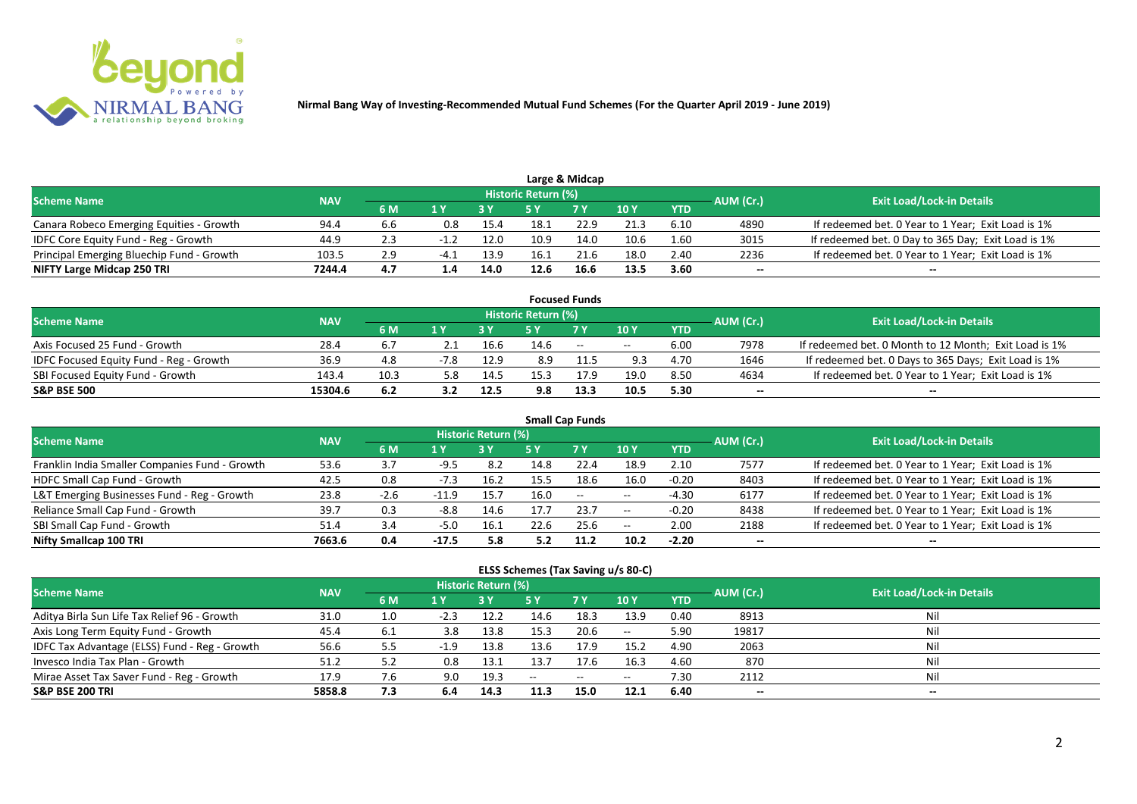

| Large & Midcap                            |            |     |        |      |                     |      |      |            |           |                                                    |  |  |  |
|-------------------------------------------|------------|-----|--------|------|---------------------|------|------|------------|-----------|----------------------------------------------------|--|--|--|
| <b>Scheme Name</b>                        | <b>NAV</b> |     |        |      | Historic Return (%) |      |      |            | AUM (Cr.) | <b>Exit Load/Lock-in Details</b>                   |  |  |  |
|                                           |            | 6 M |        |      |                     | 7 Y  | 10 Y | <b>YTD</b> |           |                                                    |  |  |  |
| Canara Robeco Emerging Equities - Growth  | 94.4       | 6.6 | 0.8    | 15.4 | 18.1                | 22.9 | 21.3 | 6.10       | 4890      | If redeemed bet. 0 Year to 1 Year; Exit Load is 1% |  |  |  |
| IDFC Core Equity Fund - Reg - Growth      | 44.9       |     |        | 12.0 | 10.9                | 14.0 | 10.6 | 1.60       | 3015      | If redeemed bet. 0 Day to 365 Day; Exit Load is 1% |  |  |  |
| Principal Emerging Bluechip Fund - Growth | 103.5      | 2.9 | $-4.1$ | 13.9 | 16.1                | 21.6 | 18.0 | 2.40       | 2236      | If redeemed bet. 0 Year to 1 Year; Exit Load is 1% |  |  |  |
| NIFTY Large Midcap 250 TRI                | 7244.4     | 4.7 | 1.4    | 14.0 | 12.6                | 16.6 | 13.5 | 3.60       | --        | $- -$                                              |  |  |  |

| <b>Focused Funds</b>                           |            |      |     |      |                     |        |       |            |           |                                                       |  |  |  |
|------------------------------------------------|------------|------|-----|------|---------------------|--------|-------|------------|-----------|-------------------------------------------------------|--|--|--|
| <b>Scheme Name</b>                             | <b>NAV</b> |      |     |      | Historic Return (%) |        |       |            | AUM (Cr.) | <b>Exit Load/Lock-in Details</b>                      |  |  |  |
|                                                |            | 6 M  | 1 V |      |                     | 7 Y    | 10Y   | <b>YTD</b> |           |                                                       |  |  |  |
| Axis Focused 25 Fund - Growth                  | 28.4       | 6.7  |     | 16.6 | 14.6                | $\sim$ | $- -$ | 6.00       | 7978      | If redeemed bet. 0 Month to 12 Month; Exit Load is 1% |  |  |  |
| <b>IDFC Focused Equity Fund - Reg - Growth</b> | 36.9       | 4.8  |     | 12.9 | 8.9                 |        | 9.3   | 4.70       | 1646      | If redeemed bet. 0 Days to 365 Days; Exit Load is 1%  |  |  |  |
| SBI Focused Equity Fund - Growth               | 143.4      | 10.3 | 5.8 | 14.5 |                     | 17.9   | 19.0  | 8.50       | 4634      | If redeemed bet. 0 Year to 1 Year; Exit Load is 1%    |  |  |  |
| <b>S&amp;P BSE 500</b>                         | 15304.6    | 6.2  |     | 12.5 | 9.8                 | 13.3   | 10.5  | 5.30       | --        | --                                                    |  |  |  |

| <b>Small Cap Funds</b>                         |            |        |         |                            |      |           |       |            |           |                                                    |  |  |  |
|------------------------------------------------|------------|--------|---------|----------------------------|------|-----------|-------|------------|-----------|----------------------------------------------------|--|--|--|
| <b>Scheme Name</b>                             | <b>NAV</b> |        |         | <b>Historic Return (%)</b> |      |           |       |            | AUM (Cr.) | <b>Exit Load/Lock-in Details</b>                   |  |  |  |
|                                                |            | 6 M    | 1 Y     |                            | 5 Y  | <b>7Y</b> | 10Y   | <b>YTD</b> |           |                                                    |  |  |  |
| Franklin India Smaller Companies Fund - Growth | 53.6       |        |         | 8.2                        | 14.8 | 22.4      | 18.9  | 2.10       | 7577      | If redeemed bet. 0 Year to 1 Year; Exit Load is 1% |  |  |  |
| HDFC Small Cap Fund - Growth                   | 42.5       | 0.8    | $-7.3$  | 16.2                       | 15.5 | 18.6      | 16.0  | $-0.20$    | 8403      | If redeemed bet. 0 Year to 1 Year; Exit Load is 1% |  |  |  |
| L&T Emerging Businesses Fund - Reg - Growth    | 23.8       | $-2.6$ | $-11.9$ | 15.7                       | 16.0 | $\sim$    | $- -$ | $-4.30$    | 6177      | If redeemed bet. 0 Year to 1 Year; Exit Load is 1% |  |  |  |
| Reliance Small Cap Fund - Growth               | 39.7       | 0.3    | $-8.8$  | 14.6                       |      | 23.7      | $- -$ | $-0.20$    | 8438      | If redeemed bet. 0 Year to 1 Year; Exit Load is 1% |  |  |  |
| SBI Small Cap Fund - Growth                    | 51.4       | 3.4    | $-5.0$  | 16.1                       | 22.6 | 25.6      | $- -$ | 2.00       | 2188      | If redeemed bet. 0 Year to 1 Year; Exit Load is 1% |  |  |  |
| Nifty Smallcap 100 TRI                         | 7663.6     | 0.4    | $-17.5$ | 5.8                        | 5.2  | 11.2      | 10.2  | $-2.20$    | $- -$     | --                                                 |  |  |  |

#### **ELSS Schemes (Tax Saving u/s 80-C)**

| <b>Scheme Name</b>                            | <b>NAV</b> |     |        | <b>Historic Return (%)</b> |      |                                                     |                 |            | AUM (Cr.) | <b>Exit Load/Lock-in Details</b> |
|-----------------------------------------------|------------|-----|--------|----------------------------|------|-----------------------------------------------------|-----------------|------------|-----------|----------------------------------|
|                                               |            | 6 M | 1 Y    |                            | 5 Y  | <b>7 Y</b>                                          | 10 <sub>1</sub> | <b>YTD</b> |           |                                  |
| Aditya Birla Sun Life Tax Relief 96 - Growth  | 31.0       | 1.0 | $-2.3$ | 12.2                       | 14.6 | 18.3                                                | 13.9            | 0.40       | 8913      |                                  |
| Axis Long Term Equity Fund - Growth           | 45.4       | 6.1 | 3.8    | 13.8                       | 15.3 | 20.6                                                | $- -$           | 5.90       | 19817     | Nil                              |
| IDFC Tax Advantage (ELSS) Fund - Reg - Growth | 56.6       | 5.5 | $-1.9$ | 13.8                       | 13.6 | 17.9                                                | 15.2            | 4.90       | 2063      | Ni                               |
| Invesco India Tax Plan - Growth               | 51.2       | 5.2 | 0.8    | 13.1                       | 13.7 |                                                     | 16.3            | 4.60       | 870       | Ni                               |
| Mirae Asset Tax Saver Fund - Reg - Growth     | 17.9       | 7.6 | 9.0    | 19.3                       | $-$  | $\hspace{0.05cm} -\hspace{0.05cm} -\hspace{0.05cm}$ | $- -$           | 7.30       | 2112      | Nil                              |
| <b>S&amp;P BSE 200 TRI</b>                    | 5858.8     | 7.3 | 6.4    | 14.3                       | 11.3 | 15.0                                                | 12.1            | 6.40       | --        | $- -$                            |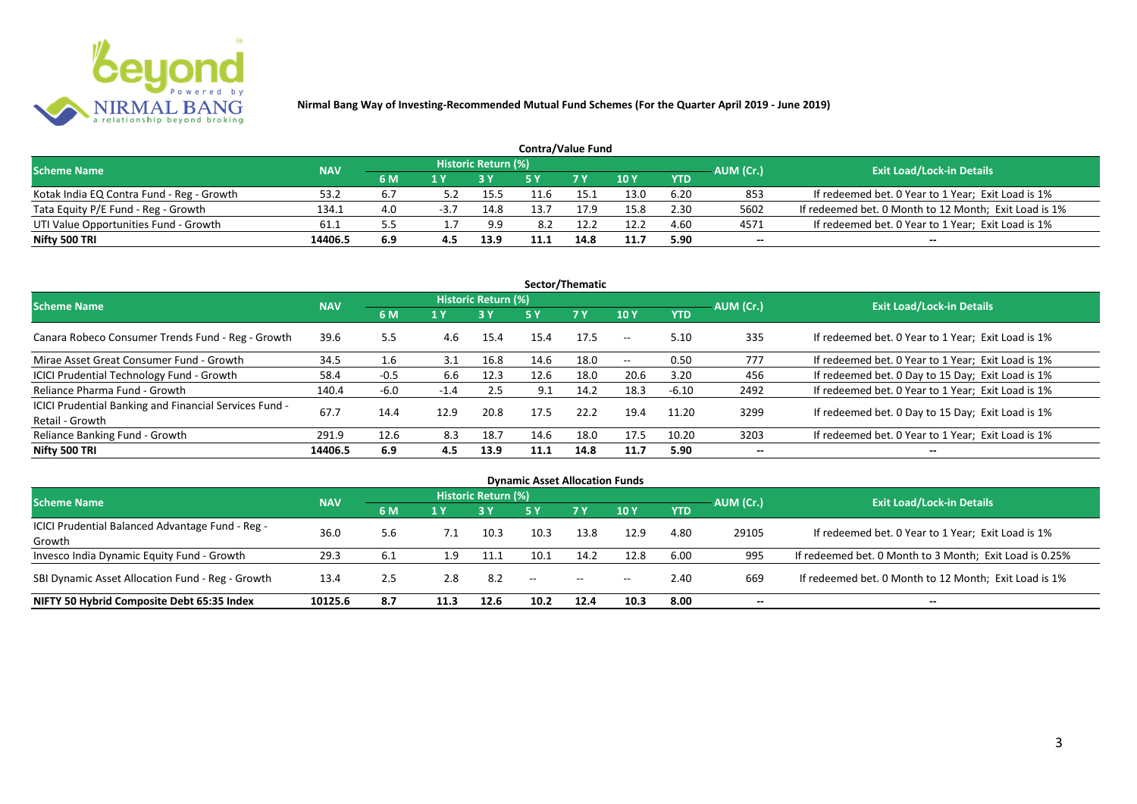

| <b>Contra/Value Fund</b>                  |            |     |      |                     |      |            |      |            |           |                                                       |  |  |  |
|-------------------------------------------|------------|-----|------|---------------------|------|------------|------|------------|-----------|-------------------------------------------------------|--|--|--|
| <b>Scheme Name</b>                        | <b>NAV</b> |     |      | Historic Return (%) |      |            |      |            | AUM (Cr.) | <b>Exit Load/Lock-in Details</b>                      |  |  |  |
|                                           |            | 6 M |      |                     |      | <b>7 Y</b> | 10Y  | <b>YTD</b> |           |                                                       |  |  |  |
| Kotak India EQ Contra Fund - Reg - Growth | 53.2       |     |      | 15.5                |      | 15.1       | 13.0 | 6.20       | 853       | If redeemed bet. 0 Year to 1 Year; Exit Load is 1%    |  |  |  |
| Tata Equity P/E Fund - Reg - Growth       | 134.1      | 4.0 | -3.7 | 14.8                | 13.7 | 17.9       | 15.8 | 2.30       | 5602      | If redeemed bet. 0 Month to 12 Month; Exit Load is 1% |  |  |  |
| UTI Value Opportunities Fund - Growth     | 61.1       |     |      | 9.9                 | 8.2  | 12.2       | 12.2 | 4.60       | 4571      | If redeemed bet. 0 Year to 1 Year; Exit Load is 1%    |  |  |  |
| Nifty 500 TRI                             | 14406.5    | 6.9 |      | 13.9                | 11.1 | 14.8       | 11.7 | 5.90       | --        | $- -$                                                 |  |  |  |

| Sector/Thematic                                                           |            |                  |        |                            |      |           |                          |            |           |                                                    |  |  |  |
|---------------------------------------------------------------------------|------------|------------------|--------|----------------------------|------|-----------|--------------------------|------------|-----------|----------------------------------------------------|--|--|--|
| <b>Scheme Name</b>                                                        | <b>NAV</b> |                  |        | <b>Historic Return (%)</b> |      |           |                          |            | AUM (Cr.) | <b>Exit Load/Lock-in Details</b>                   |  |  |  |
|                                                                           |            | 6 M              | 1 Y    | <b>3 Y</b>                 | 5 Y  | <b>7Y</b> | <b>10Y</b>               | <b>YTD</b> |           |                                                    |  |  |  |
| Canara Robeco Consumer Trends Fund - Reg - Growth                         | 39.6       | 5.5              | 4.6    | 15.4                       | 15.4 | 17.5      | $\sim$ $\sim$            | 5.10       | 335       | If redeemed bet. 0 Year to 1 Year; Exit Load is 1% |  |  |  |
| Mirae Asset Great Consumer Fund - Growth                                  | 34.5       | $1.6\phantom{0}$ | 3.1    | 16.8                       | 14.6 | 18.0      | $\overline{\phantom{a}}$ | 0.50       | 777       | If redeemed bet. 0 Year to 1 Year; Exit Load is 1% |  |  |  |
| ICICI Prudential Technology Fund - Growth                                 | 58.4       | $-0.5$           | 6.6    | 12.3                       | 12.6 | 18.0      | 20.6                     | 3.20       | 456       | If redeemed bet. 0 Day to 15 Day; Exit Load is 1%  |  |  |  |
| Reliance Pharma Fund - Growth                                             | 140.4      | $-6.0$           | $-1.4$ | 2.5                        | 9.1  | 14.2      | 18.3                     | $-6.10$    | 2492      | If redeemed bet. 0 Year to 1 Year; Exit Load is 1% |  |  |  |
| ICICI Prudential Banking and Financial Services Fund -<br>Retail - Growth | 67.7       | 14.4             | 12.9   | 20.8                       | 17.5 | 22.2      | 19.4                     | 11.20      | 3299      | If redeemed bet. 0 Day to 15 Day; Exit Load is 1%  |  |  |  |
| Reliance Banking Fund - Growth                                            | 291.9      | 12.6             | 8.3    | 18.7                       | 14.6 | 18.0      | 17.5                     | 10.20      | 3203      | If redeemed bet. 0 Year to 1 Year; Exit Load is 1% |  |  |  |
| Nifty 500 TRI                                                             | 14406.5    | 6.9              | 4.5    | 13.9                       | 11.1 | 14.8      | 11.7                     | 5.90       | $- -$     | $\overline{\phantom{a}}$                           |  |  |  |

| <b>Dynamic Asset Allocation Funds</b>            |            |     |      |                            |                   |           |            |            |           |                                                         |  |  |  |
|--------------------------------------------------|------------|-----|------|----------------------------|-------------------|-----------|------------|------------|-----------|---------------------------------------------------------|--|--|--|
| <b>Scheme Name</b>                               | <b>NAV</b> |     |      | <b>Historic Return (%)</b> |                   |           |            |            |           | <b>Exit Load/Lock-in Details</b>                        |  |  |  |
|                                                  |            | 6 M | 1 Y  |                            | <b>5 Y</b>        | <b>7Y</b> | <b>10Y</b> | <b>YTD</b> | AUM (Cr.) |                                                         |  |  |  |
| ICICI Prudential Balanced Advantage Fund - Reg - |            |     |      |                            | 10.3              |           |            |            |           |                                                         |  |  |  |
| Growth                                           | 36.0       | 5.6 | 7.1  | 10.3                       |                   | 13.8      | 12.9       | 4.80       | 29105     | If redeemed bet. 0 Year to 1 Year; Exit Load is 1%      |  |  |  |
| Invesco India Dynamic Equity Fund - Growth       | 29.3       | 6.1 | 1.9  | 11.1                       | 10.1              | 14.2      | 12.8       | 6.00       | 995       | If redeemed bet. 0 Month to 3 Month; Exit Load is 0.25% |  |  |  |
| SBI Dynamic Asset Allocation Fund - Reg - Growth | 13.4       | 2.5 | 2.8  | 8.2                        | $\hspace{0.05cm}$ | $\sim$    | $- -$      | 2.40       | 669       | If redeemed bet. 0 Month to 12 Month; Exit Load is 1%   |  |  |  |
| NIFTY 50 Hybrid Composite Debt 65:35 Index       | 10125.6    | 8.7 | 11.3 | 12.6                       | 10.2              | 12.4      | 10.3       | 8.00       | --        | $- -$                                                   |  |  |  |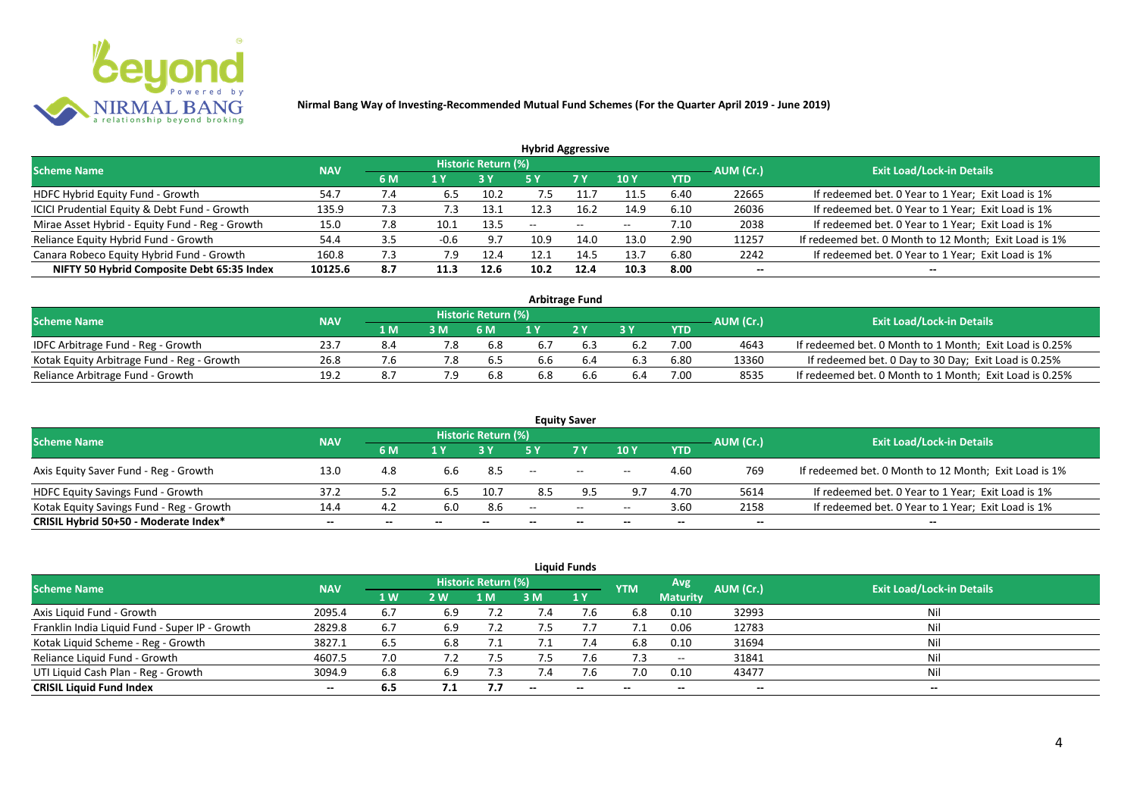

| <b>Hybrid Aggressive</b>                        |            |                |        |                            |               |       |                 |            |           |                                                       |  |  |  |  |
|-------------------------------------------------|------------|----------------|--------|----------------------------|---------------|-------|-----------------|------------|-----------|-------------------------------------------------------|--|--|--|--|
| <b>Scheme Name</b>                              | <b>NAV</b> |                |        | <b>Historic Return (%)</b> |               |       |                 |            | AUM (Cr.) | <b>Exit Load/Lock-in Details</b>                      |  |  |  |  |
|                                                 |            | 6 M            | 1 Y    |                            | 5 Y           | 7 Y   | 10 <sub>Y</sub> | <b>YTD</b> |           |                                                       |  |  |  |  |
| HDFC Hybrid Equity Fund - Growth                | 54.7       | 7.4            | 6.5    | 10.2                       | $^{\prime}.5$ |       | 11.5            | 6.40       | 22665     | If redeemed bet. 0 Year to 1 Year; Exit Load is 1%    |  |  |  |  |
| ICICI Prudential Equity & Debt Fund - Growth    | 135.9      | $^{\prime}$ .3 | 7.3    | 13.1                       |               | 16.2  | 14.9            | 6.10       | 26036     | If redeemed bet. 0 Year to 1 Year; Exit Load is 1%    |  |  |  |  |
| Mirae Asset Hybrid - Equity Fund - Reg - Growth | 15.0       | 7.8            | 10.1   | 13.5                       | --            | $- -$ | $-$             | 7.10       | 2038      | If redeemed bet. 0 Year to 1 Year; Exit Load is 1%    |  |  |  |  |
| Reliance Equity Hybrid Fund - Growth            | 54.4       | 3.5            | $-0.6$ | 9.7                        | 10.9          | 14.0  | 13.0            | 2.90       | 11257     | If redeemed bet. 0 Month to 12 Month; Exit Load is 1% |  |  |  |  |
| Canara Robeco Equity Hybrid Fund - Growth       | 160.8      | 7.3            | 7.9    | 12.4                       |               | 14.5  | 13.7            | 6.80       | 2242      | If redeemed bet. 0 Year to 1 Year; Exit Load is 1%    |  |  |  |  |
| NIFTY 50 Hybrid Composite Debt 65:35 Index      | 10125.6    | 8.7            | 11.3   | 12.6                       | 10.2          | 12.4  | 10.3            | 8.00       | $- -$     |                                                       |  |  |  |  |
|                                                 |            |                |        |                            |               |       |                 |            |           |                                                       |  |  |  |  |

| <b>Arbitrage Fund</b>                      |            |     |     |                            |     |     |     |            |           |                                                         |  |  |  |
|--------------------------------------------|------------|-----|-----|----------------------------|-----|-----|-----|------------|-----------|---------------------------------------------------------|--|--|--|
| <b>Scheme Name</b>                         | <b>NAV</b> |     |     | <b>Historic Return (%)</b> |     |     |     |            | AUM (Cr.) | <b>Exit Load/Lock-in Details</b>                        |  |  |  |
|                                            |            | 1 M | 3 M | 6 M                        |     | 2V  |     | <b>YTD</b> |           |                                                         |  |  |  |
| IDFC Arbitrage Fund - Reg - Growth         | 23.7       | 8.4 |     | 6.8                        |     |     | 6.2 | 7.00       | 4643      | If redeemed bet. 0 Month to 1 Month; Exit Load is 0.25% |  |  |  |
| Kotak Equity Arbitrage Fund - Reg - Growth | 26.8       | 7.b | 7.8 | 6.5                        | b.b | 6.4 | 6.3 | 6.80       | 13360     | If redeemed bet. 0 Day to 30 Day; Exit Load is 0.25%    |  |  |  |
| Reliance Arbitrage Fund - Growth           | 19.2       | 8.7 | 7.9 | 6.8                        | 5.8 | 6.6 | 6.4 | 7.00       | 8535      | If redeemed bet. 0 Month to 1 Month; Exit Load is 0.25% |  |  |  |

|                                          |            |       |       |                     |                   | <b>Equity Saver</b> |                          |            |                          |                                                       |
|------------------------------------------|------------|-------|-------|---------------------|-------------------|---------------------|--------------------------|------------|--------------------------|-------------------------------------------------------|
| <b>Scheme Name</b>                       | <b>NAV</b> |       |       | Historic Return (%) |                   |                     |                          |            | AUM (Cr.)                | <b>Exit Load/Lock-in Details</b>                      |
|                                          |            | 6 M   |       |                     |                   | <b>7 Y</b>          | <b>10Y</b>               | <b>YTD</b> |                          |                                                       |
| Axis Equity Saver Fund - Reg - Growth    | 13.0       | 4.8   | 6.6   | -8.5                | $\hspace{0.05cm}$ | $\sim$              | $\overline{\phantom{a}}$ | 4.60       | 769                      | If redeemed bet. 0 Month to 12 Month; Exit Load is 1% |
| HDFC Equity Savings Fund - Growth        | 37.2       |       | 6.5   | 10.7                | 8.5               |                     |                          | 4.70       | 5614                     | If redeemed bet. 0 Year to 1 Year; Exit Load is 1%    |
| Kotak Equity Savings Fund - Reg - Growth | 14.4       | 4.2   | 6.0   | 8.6                 | $-$               | $  \,$              | $- -$                    | 3.60       | 2158                     | If redeemed bet. 0 Year to 1 Year; Exit Load is 1%    |
| CRISIL Hybrid 50+50 - Moderate Index*    | $- -$      | $- -$ | $- -$ | $- -$               |                   | $- -$               | $\overline{\phantom{a}}$ | $- -$      | $\overline{\phantom{a}}$ | $- -$                                                 |

| <b>Liquid Funds</b>                            |            |     |     |                            |      |                          |            |                   |                          |                                  |  |  |  |  |
|------------------------------------------------|------------|-----|-----|----------------------------|------|--------------------------|------------|-------------------|--------------------------|----------------------------------|--|--|--|--|
| <b>Scheme Name</b>                             | <b>NAV</b> |     |     | <b>Historic Return (%)</b> |      |                          | <b>YTM</b> | Avg.              | AUM (Cr.)                | <b>Exit Load/Lock-in Details</b> |  |  |  |  |
|                                                |            | 1 W | 2 W | 1 M                        | 3 M  | 1Y                       |            | <b>Maturity</b>   |                          |                                  |  |  |  |  |
| Axis Liquid Fund - Growth                      | 2095.4     | 6.7 | 6.9 |                            |      | 7.6                      | 6.8        | 0.10              | 32993                    | Nil                              |  |  |  |  |
| Franklin India Liquid Fund - Super IP - Growth | 2829.8     | 6.7 | 6.9 |                            | כ. ז |                          |            | 0.06              | 12783                    | Nil                              |  |  |  |  |
| Kotak Liquid Scheme - Reg - Growth             | 3827.1     | 6.5 | 6.8 |                            |      | 7.4                      | 6.8        | 0.10              | 31694                    | Nil                              |  |  |  |  |
| Reliance Liquid Fund - Growth                  | 4607.5     | 7.0 | 7.2 | 7.5                        | 7.5  | 7.6                      | 7.3        | $\hspace{0.05cm}$ | 31841                    | Nil                              |  |  |  |  |
| UTI Liquid Cash Plan - Reg - Growth            | 3094.9     | 6.8 | 6.9 | 7.3                        |      | 7.6                      | 7.0        | 0.10              | 43477                    | Nil                              |  |  |  |  |
| <b>CRISIL Liquid Fund Index</b>                | $- -$      | 6.5 | 7.1 |                            |      | $\overline{\phantom{a}}$ | $- -$      | --                | $\overline{\phantom{a}}$ | $- -$                            |  |  |  |  |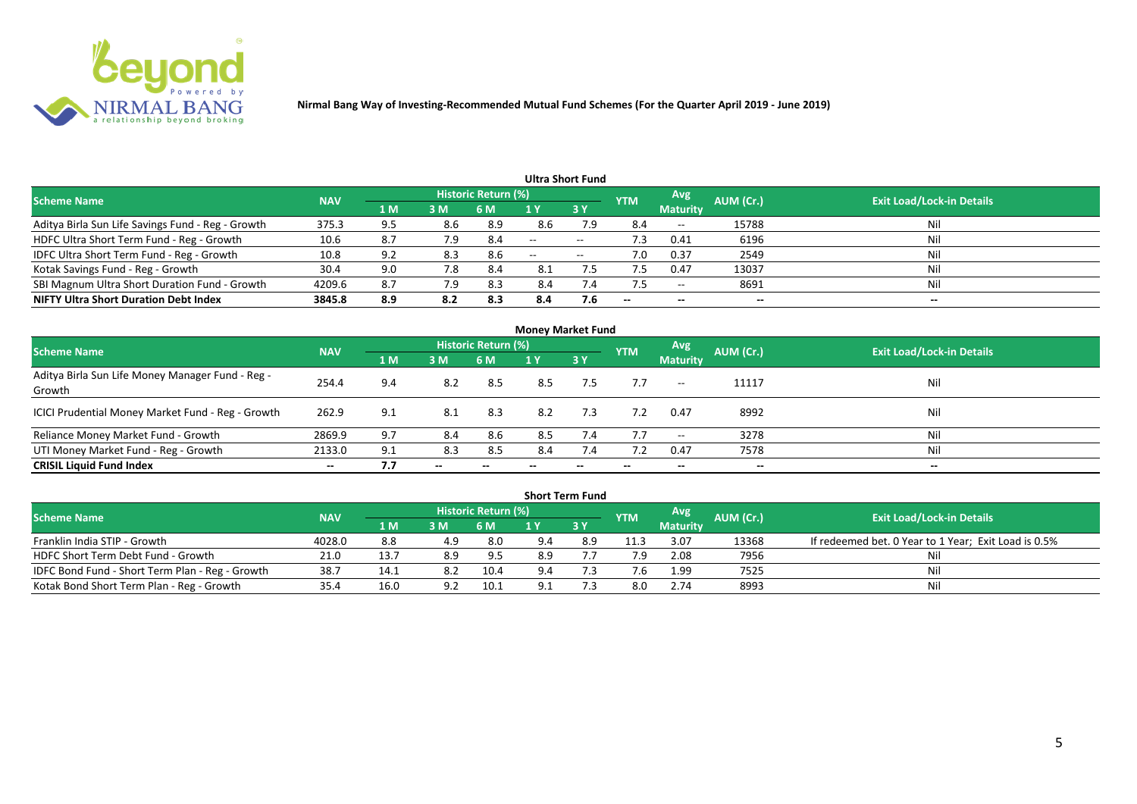

|                                                   |            |     |     |                            |       | Ultra Short Fund  |                          |                          |           |                                  |
|---------------------------------------------------|------------|-----|-----|----------------------------|-------|-------------------|--------------------------|--------------------------|-----------|----------------------------------|
| <b>Scheme Name</b>                                | <b>NAV</b> |     |     | <b>Historic Return (%)</b> |       |                   | <b>YTM</b>               | Avg                      | AUM (Cr.) | <b>Exit Load/Lock-in Details</b> |
|                                                   |            | 1 M | 3M  | 6 M                        |       | 3Y                |                          | <b>Maturity</b>          |           |                                  |
| Aditya Birla Sun Life Savings Fund - Reg - Growth | 375.3      | 9.5 | 8.6 | 8.9                        | 8.6   | 7.9               | 8.4                      | $\overline{\phantom{a}}$ | 15788     | Nil                              |
| HDFC Ultra Short Term Fund - Reg - Growth         | 10.6       | 8.7 | 7.9 | 8.4                        | $-$   | $- -$             | د. ا                     | 0.41                     | 6196      | Nil                              |
| IDFC Ultra Short Term Fund - Reg - Growth         | 10.8       | 9.2 | 8.3 | 8.6                        | $- -$ | $\hspace{0.05cm}$ | 7.0                      | 0.37                     | 2549      | Nil                              |
| Kotak Savings Fund - Reg - Growth                 | 30.4       | 9.0 | 7.8 | 8.4                        | 8.1   |                   |                          | 0.47                     | 13037     | Nil                              |
| SBI Magnum Ultra Short Duration Fund - Growth     | 4209.6     | 8.7 | 7.9 | 8.3                        | 8.4   | $\sqrt{.4}$       |                          | $- -$                    | 8691      | Nil                              |
| <b>NIFTY Ultra Short Duration Debt Index</b>      | 3845.8     | 8.9 | 8.2 | 8.3                        | 8.4   | 7.6               | $\overline{\phantom{a}}$ | $- -$                    | --        | $- -$                            |

| <b>Money Market Fund</b>                                   |            |                |       |                     |     |           |            |                 |           |                                  |  |  |  |
|------------------------------------------------------------|------------|----------------|-------|---------------------|-----|-----------|------------|-----------------|-----------|----------------------------------|--|--|--|
| <b>Scheme Name</b>                                         | <b>NAV</b> |                |       | Historic Return (%) |     |           | <b>YTM</b> | Avg             | AUM (Cr.) | <b>Exit Load/Lock-in Details</b> |  |  |  |
|                                                            |            | 1 <sub>M</sub> | 3 M   | 6 M                 | 1 Y | <b>3Y</b> |            | <b>Maturity</b> |           |                                  |  |  |  |
| Aditya Birla Sun Life Money Manager Fund - Reg -<br>Growth | 254.4      | 9.4            | 8.2   | 8.5                 | 8.5 | 7.5       | 7.7        | $--$            | 11117     | Nil                              |  |  |  |
| ICICI Prudential Money Market Fund - Reg - Growth          | 262.9      | 9.1            | 8.1   | 8.3                 | 8.2 | 7.3       | 7.2        | 0.47            | 8992      | Nil                              |  |  |  |
| Reliance Money Market Fund - Growth                        | 2869.9     | 9.7            | 8.4   | 8.6                 | 8.5 | 7.4       | 7.7        | $- -$           | 3278      | Nil                              |  |  |  |
| UTI Money Market Fund - Reg - Growth                       | 2133.0     | 9.1            | 8.3   | 8.5                 | 8.4 | 7.4       |            | 0.47            | 7578      | Nil                              |  |  |  |
| <b>CRISIL Liquid Fund Index</b>                            | $- -$      | 7.7            | $- -$ |                     |     |           | --         | $- -$           | $- -$     | $- -$                            |  |  |  |

|                                                 |            |                                     |     |                            |     | <b>Short Term Fund</b> |            |                 |           |                                                      |
|-------------------------------------------------|------------|-------------------------------------|-----|----------------------------|-----|------------------------|------------|-----------------|-----------|------------------------------------------------------|
| <b>Scheme Name</b>                              | <b>NAV</b> |                                     |     | <b>Historic Return (%)</b> |     |                        | <b>YTM</b> | <b>Avg</b>      | AUM (Cr.) | <b>Exit Load/Lock-in Details</b>                     |
|                                                 |            | $\blacktriangle$ M $\blacktriangle$ | 3M  | 6 M                        |     | 73 Y                   |            | <b>Maturity</b> |           |                                                      |
| Franklin India STIP - Growth                    | 4028.0     | 8.8                                 | 4.9 | 8.0                        | 9.4 | 8.9                    | 11.3       | 3.07            | 13368     | If redeemed bet. 0 Year to 1 Year; Exit Load is 0.5% |
| HDFC Short Term Debt Fund - Growth              | 21.0       | 13.7                                | 8.9 | 9.5                        | 8.9 |                        | 7.9        | 2.08            | 7956      |                                                      |
| IDFC Bond Fund - Short Term Plan - Reg - Growth | 38.7       | 14.1                                | 8.2 | 10.4                       | 9.4 |                        |            | 1.99            | 7525      | Nil                                                  |
| Kotak Bond Short Term Plan - Reg - Growth       | 35.4       | 16.0                                |     | 10.1                       |     |                        | 8.0        | 2.74            | 8993      | Nil                                                  |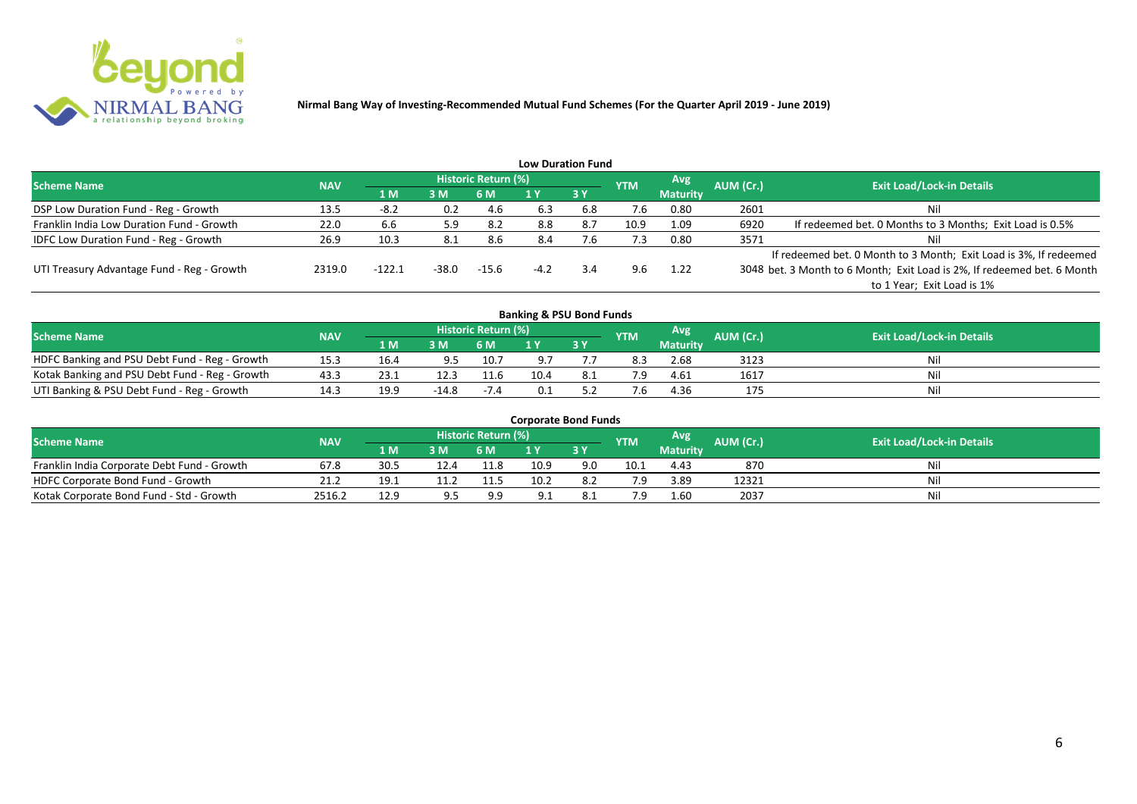

|                                              |            |          |       |                     |        | <b>Low Duration Fund</b> |            |                 |           |                                                                         |
|----------------------------------------------|------------|----------|-------|---------------------|--------|--------------------------|------------|-----------------|-----------|-------------------------------------------------------------------------|
| <b>Scheme Name</b>                           | <b>NAV</b> |          |       | Historic Return (%) |        |                          | <b>YTM</b> | Avg             | AUM (Cr.) | <b>Exit Load/Lock-in Details</b>                                        |
|                                              |            | 71 M.    | 3 M   | 6 M                 |        | 3Y                       |            | <b>Maturity</b> |           |                                                                         |
| DSP Low Duration Fund - Reg - Growth         | 13.5       | $-8.2$   | 0.2   | 4.6                 | 6.3    | 6.8                      | 7.6        | 0.80            | 2601      | Nil                                                                     |
| Franklin India Low Duration Fund - Growth    | 22.0       | 6.6      | 5.9   | -8.2                | 8.8    | 8.7                      | 10.9       | 1.09            | 6920      | If redeemed bet. 0 Months to 3 Months; Exit Load is 0.5%                |
| <b>IDFC Low Duration Fund - Reg - Growth</b> | 26.9       | 10.3     |       | 8.6                 | 8.4    | $^{\prime}$ .6           | 7.3        | 0.80            | 3571      | Nil                                                                     |
|                                              |            |          |       |                     |        |                          |            |                 |           | If redeemed bet. 0 Month to 3 Month; Exit Load is 3%, If redeemed       |
| UTI Treasury Advantage Fund - Reg - Growth   | 2319.0     | $-122.1$ | -38.0 | $-15.6$             | $-4.2$ | 3.4                      | 9.6        | 1.22            |           | 3048 bet. 3 Month to 6 Month; Exit Load is 2%, If redeemed bet. 6 Month |
|                                              |            |          |       |                     |        |                          |            |                 |           | to 1 Year; Exit Load is 1%                                              |
|                                              |            |          |       |                     |        |                          |            |                 |           |                                                                         |

| <b>Banking &amp; PSU Bond Funds</b>            |            |      |         |                     |      |     |            |                 |                  |                                  |  |  |  |  |
|------------------------------------------------|------------|------|---------|---------------------|------|-----|------------|-----------------|------------------|----------------------------------|--|--|--|--|
| <b>Scheme Name</b>                             | <b>NAV</b> |      |         | Historic Return (%) |      |     | <b>YTM</b> | Avg             | <b>AUM (Cr.)</b> | <b>Exit Load/Lock-in Details</b> |  |  |  |  |
|                                                |            | 1 M  | 3M      | 6 M                 |      | 3Y  |            | <b>Maturity</b> |                  |                                  |  |  |  |  |
| HDFC Banking and PSU Debt Fund - Reg - Growth  | 15.3       | 16.4 | 9.5     | 10.7                |      |     | 8.3        | 2.68            | 3123             | Nil                              |  |  |  |  |
| Kotak Banking and PSU Debt Fund - Reg - Growth | 43.3       | 23.1 | 12.3    | 11.6                | 10.4 | 8.1 |            | 4.61            | 1617             | Nil                              |  |  |  |  |
| UTI Banking & PSU Debt Fund - Reg - Growth     |            | 19.9 | $-14.8$ | $-7.4$              |      |     |            | 4.36            | 175              | Nil                              |  |  |  |  |

| <b>Corporate Bond Funds</b>                 |            |      |     |                            |      |            |            |                 |           |                                  |  |  |  |
|---------------------------------------------|------------|------|-----|----------------------------|------|------------|------------|-----------------|-----------|----------------------------------|--|--|--|
| <b>Scheme Name</b>                          | <b>NAV</b> |      |     | <b>Historic Return (%)</b> |      |            | <b>YTM</b> | Avg             | AUM (Cr.) | <b>Exit Load/Lock-in Details</b> |  |  |  |
|                                             |            | 4 MZ | 3M  | 6 M                        |      | <b>3 Y</b> |            | <b>Maturity</b> |           |                                  |  |  |  |
| Franklin India Corporate Debt Fund - Growth | 67.8       | 30.5 |     | 11.8                       | 10.9 | 9.0        | 10.1       | 4.43            | 870       | Nil                              |  |  |  |
| HDFC Corporate Bond Fund - Growth           | 21.2       | 19.1 |     | 11.5                       | 10.2 | 8.2        |            | 3.89            | 12321     | Nil                              |  |  |  |
| Kotak Corporate Bond Fund - Std - Growth    | 2516.2     | 12.9 | 9 5 | 9.9                        |      |            |            | 1.60            | 2037      | Nil                              |  |  |  |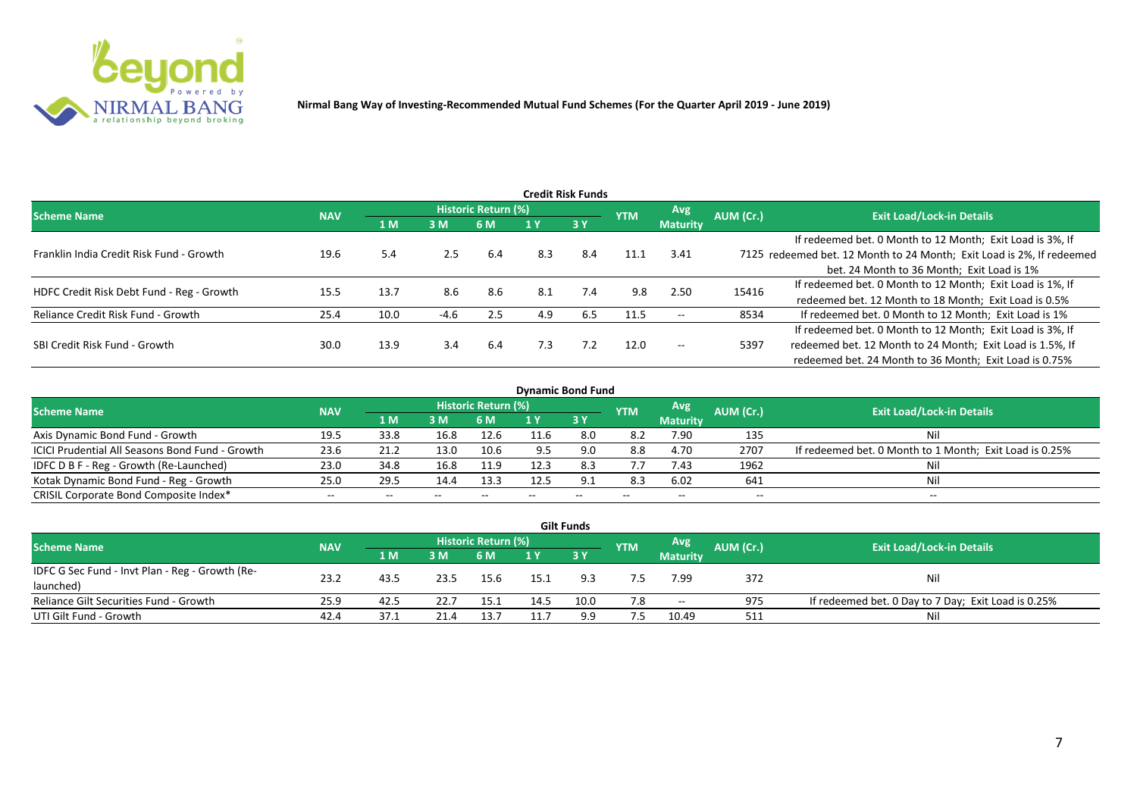

|                                           |            |      |        |                     |     | <b>Credit Risk Funds</b> |            |                 |           |                                                                       |
|-------------------------------------------|------------|------|--------|---------------------|-----|--------------------------|------------|-----------------|-----------|-----------------------------------------------------------------------|
| <b>Scheme Name</b>                        | <b>NAV</b> |      |        | Historic Return (%) |     |                          | <b>YTM</b> | <b>Avg</b>      | AUM (Cr.) | <b>Exit Load/Lock-in Details</b>                                      |
|                                           |            | 1 M  | 3M     | 6 M                 |     | 3Y                       |            | <b>Maturity</b> |           |                                                                       |
|                                           |            |      |        |                     |     |                          |            |                 |           | If redeemed bet. 0 Month to 12 Month; Exit Load is 3%, If             |
| Franklin India Credit Risk Fund - Growth  | 19.6       | 5.4  | 2.5    | 6.4                 | 8.3 | 8.4                      | 11.1       | 3.41            |           | 7125 redeemed bet. 12 Month to 24 Month; Exit Load is 2%, If redeemed |
|                                           |            |      |        |                     |     |                          |            |                 |           | bet. 24 Month to 36 Month; Exit Load is 1%                            |
| HDFC Credit Risk Debt Fund - Reg - Growth | 15.5       | 13.7 | 8.6    | 8.6                 | 8.1 | 7.4                      | 9.8        | 2.50            | 15416     | If redeemed bet. 0 Month to 12 Month; Exit Load is 1%, If             |
|                                           |            |      |        |                     |     |                          |            |                 |           | redeemed bet. 12 Month to 18 Month; Exit Load is 0.5%                 |
| Reliance Credit Risk Fund - Growth        | 25.4       | 10.0 | $-4.6$ | 2.5                 | 4.9 | 6.5                      | 11.5       | $- -$           | 8534      | If redeemed bet. 0 Month to 12 Month; Exit Load is 1%                 |
|                                           |            |      |        |                     |     |                          |            |                 |           | If redeemed bet. 0 Month to 12 Month; Exit Load is 3%, If             |
| SBI Credit Risk Fund - Growth             | 30.0       | 13.9 | 3.4    | 6.4                 | 7.3 | 7.2                      | 12.0       | $- -$           | 5397      | redeemed bet. 12 Month to 24 Month; Exit Load is 1.5%, If             |
|                                           |            |      |        |                     |     |                          |            |                 |           | redeemed bet. 24 Month to 36 Month; Exit Load is 0.75%                |

| <b>Dynamic Bond Fund</b>                        |            |       |       |                          |      |           |            |                          |           |                                                         |  |  |  |  |
|-------------------------------------------------|------------|-------|-------|--------------------------|------|-----------|------------|--------------------------|-----------|---------------------------------------------------------|--|--|--|--|
| <b>Scheme Name</b>                              | <b>NAV</b> |       |       | Historic Return (%)      |      |           | <b>YTM</b> | Avg                      | AUM (Cr.) | <b>Exit Load/Lock-in Details</b>                        |  |  |  |  |
|                                                 |            | 1 M   | 3 M   | 6 M                      |      | <b>3Y</b> |            | <b>Maturity</b>          |           |                                                         |  |  |  |  |
| Axis Dynamic Bond Fund - Growth                 | 19.5       | 33.8  | 16.8  | 12.6                     | 11.6 |           | 8.2        | 7.90                     | 135       | Νi                                                      |  |  |  |  |
| ICICI Prudential All Seasons Bond Fund - Growth | 23.6       | 21.2  | 13.0  | 10.6                     |      |           | 8.8        | 4.70                     | 2707      | If redeemed bet. 0 Month to 1 Month; Exit Load is 0.25% |  |  |  |  |
| IDFC D B F - Reg - Growth (Re-Launched)         | 23.0       | 34.8  | 16.8  | 11.9                     | 12.3 | 8.3       | 7.7        | 7.43                     | 1962      |                                                         |  |  |  |  |
| Kotak Dynamic Bond Fund - Reg - Growth          | 25.0       | 29.5  | 14.4  | 13.3                     | 12.5 | 9.1       | 8.3        | 6.02                     | 641       | Νi                                                      |  |  |  |  |
| CRISIL Corporate Bond Composite Index*          | $- -$      | $- -$ | $- -$ | $\overline{\phantom{m}}$ |      | $- -$     |            | $\overline{\phantom{a}}$ | $- -$     | $-$                                                     |  |  |  |  |

|                                                 |            |             |      |                     |      | <b>Gilt Funds</b> |            |                 |           |                                                     |
|-------------------------------------------------|------------|-------------|------|---------------------|------|-------------------|------------|-----------------|-----------|-----------------------------------------------------|
| <b>Scheme Name</b>                              | <b>NAV</b> |             |      | Historic Return (%) |      |                   | <b>YTM</b> | <b>Avg</b>      | AUM (Cr.) | <b>Exit Load/Lock-in Details</b>                    |
|                                                 |            | <b>4 MZ</b> | 3M   | '6 M                |      | $-3V$             |            | <b>Maturity</b> |           |                                                     |
| IDFC G Sec Fund - Invt Plan - Reg - Growth (Re- | 23.2       |             | 23.5 |                     |      |                   |            |                 |           | Nil                                                 |
| launched)                                       |            | 43.5        |      | 15.6                | 15.1 |                   |            | 7.99            | 372       |                                                     |
| Reliance Gilt Securities Fund - Growth          | 25.9       | 42.5        | 22.7 | 15.1                | 14.5 | 10.0              | 7.8        | $\sim$          | 975       | If redeemed bet. 0 Day to 7 Day; Exit Load is 0.25% |
| UTI Gilt Fund - Growth                          | 42.4       | 37.1        |      | 13.7                |      | 9.9               |            | 10.49           | 511       | Nil                                                 |